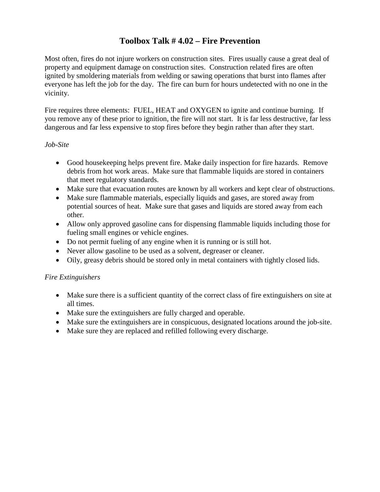### **Toolbox Talk # 4.02 – Fire Prevention**

Most often, fires do not injure workers on construction sites. Fires usually cause a great deal of property and equipment damage on construction sites. Construction related fires are often ignited by smoldering materials from welding or sawing operations that burst into flames after everyone has left the job for the day. The fire can burn for hours undetected with no one in the vicinity.

Fire requires three elements: FUEL, HEAT and OXYGEN to ignite and continue burning. If you remove any of these prior to ignition, the fire will not start. It is far less destructive, far less dangerous and far less expensive to stop fires before they begin rather than after they start.

#### *Job-Site*

- Good housekeeping helps prevent fire. Make daily inspection for fire hazards. Remove debris from hot work areas. Make sure that flammable liquids are stored in containers that meet regulatory standards.
- Make sure that evacuation routes are known by all workers and kept clear of obstructions.
- Make sure flammable materials, especially liquids and gases, are stored away from potential sources of heat. Make sure that gases and liquids are stored away from each other.
- Allow only approved gasoline cans for dispensing flammable liquids including those for fueling small engines or vehicle engines.
- Do not permit fueling of any engine when it is running or is still hot.
- Never allow gasoline to be used as a solvent, degreaser or cleaner.
- Oily, greasy debris should be stored only in metal containers with tightly closed lids.

#### *Fire Extinguishers*

- Make sure there is a sufficient quantity of the correct class of fire extinguishers on site at all times.
- Make sure the extinguishers are fully charged and operable.
- Make sure the extinguishers are in conspicuous, designated locations around the job-site.
- Make sure they are replaced and refilled following every discharge.